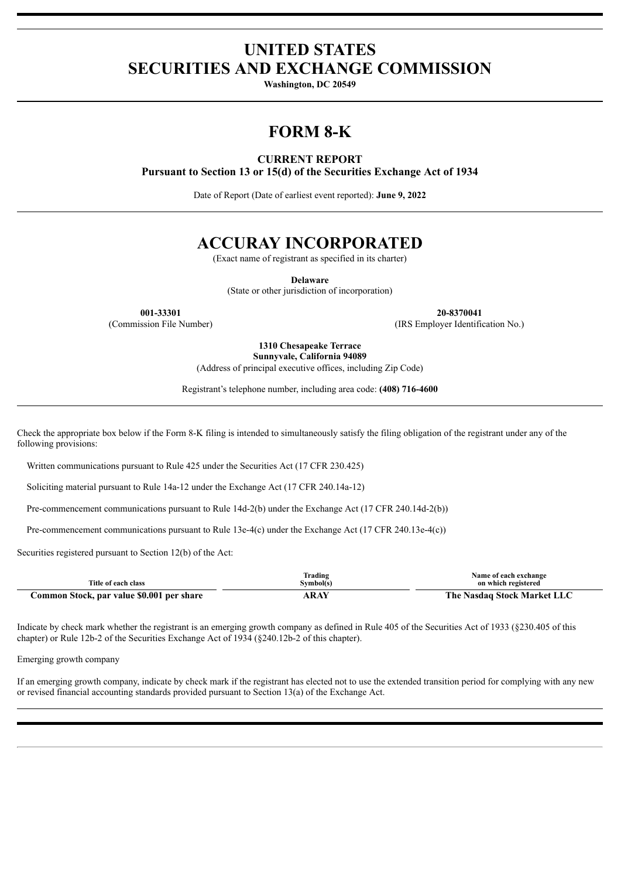# **UNITED STATES SECURITIES AND EXCHANGE COMMISSION**

**Washington, DC 20549**

# **FORM 8-K**

# **CURRENT REPORT**

**Pursuant to Section 13 or 15(d) of the Securities Exchange Act of 1934**

Date of Report (Date of earliest event reported): **June 9, 2022**

# **ACCURAY INCORPORATED**

(Exact name of registrant as specified in its charter)

**Delaware**

(State or other jurisdiction of incorporation)

**001-33301 20-8370041**

(Commission File Number) (IRS Employer Identification No.)

**1310 Chesapeake Terrace Sunnyvale, California 94089**

(Address of principal executive offices, including Zip Code)

Registrant's telephone number, including area code: **(408) 716-4600**

Check the appropriate box below if the Form 8-K filing is intended to simultaneously satisfy the filing obligation of the registrant under any of the following provisions:

Written communications pursuant to Rule 425 under the Securities Act (17 CFR 230.425)

Soliciting material pursuant to Rule 14a-12 under the Exchange Act (17 CFR 240.14a-12)

Pre-commencement communications pursuant to Rule 14d-2(b) under the Exchange Act (17 CFR 240.14d-2(b))

Pre-commencement communications pursuant to Rule 13e-4(c) under the Exchange Act (17 CFR 240.13e-4(c))

Securities registered pursuant to Section 12(b) of the Act:

|                                           | Trading   | Name of each exchange       |
|-------------------------------------------|-----------|-----------------------------|
| Title of each class                       | Symbol(s) | on which registered         |
| Common Stock, par value \$0.001 per share | ARAY      | The Nasdaq Stock Market LLC |

Indicate by check mark whether the registrant is an emerging growth company as defined in Rule 405 of the Securities Act of 1933 (§230.405 of this chapter) or Rule 12b-2 of the Securities Exchange Act of 1934 (§240.12b-2 of this chapter).

Emerging growth company

If an emerging growth company, indicate by check mark if the registrant has elected not to use the extended transition period for complying with any new or revised financial accounting standards provided pursuant to Section 13(a) of the Exchange Act.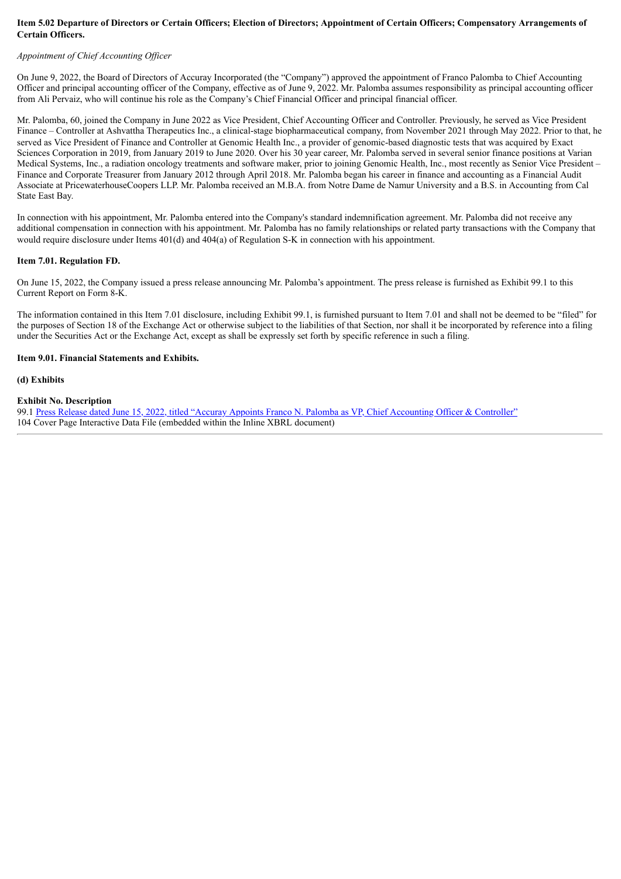## Item 5.02 Departure of Directors or Certain Officers; Election of Directors; Appointment of Certain Officers; Compensatory Arrangements of **Certain Officers.**

### *Appointment of Chief Accounting Of icer*

On June 9, 2022, the Board of Directors of Accuray Incorporated (the "Company") approved the appointment of Franco Palomba to Chief Accounting Officer and principal accounting officer of the Company, effective as of June 9, 2022. Mr. Palomba assumes responsibility as principal accounting officer from Ali Pervaiz, who will continue his role as the Company's Chief Financial Officer and principal financial officer.

Mr. Palomba, 60, joined the Company in June 2022 as Vice President, Chief Accounting Officer and Controller. Previously, he served as Vice President Finance – Controller at Ashvattha Therapeutics Inc., a clinical-stage biopharmaceutical company, from November 2021 through May 2022. Prior to that, he served as Vice President of Finance and Controller at Genomic Health Inc., a provider of genomic-based diagnostic tests that was acquired by Exact Sciences Corporation in 2019, from January 2019 to June 2020. Over his 30 year career, Mr. Palomba served in several senior finance positions at Varian Medical Systems, Inc., a radiation oncology treatments and software maker, prior to joining Genomic Health, Inc., most recently as Senior Vice President – Finance and Corporate Treasurer from January 2012 through April 2018. Mr. Palomba began his career in finance and accounting as a Financial Audit Associate at PricewaterhouseCoopers LLP. Mr. Palomba received an M.B.A. from Notre Dame de Namur University and a B.S. in Accounting from Cal State East Bay.

In connection with his appointment, Mr. Palomba entered into the Company's standard indemnification agreement. Mr. Palomba did not receive any additional compensation in connection with his appointment. Mr. Palomba has no family relationships or related party transactions with the Company that would require disclosure under Items 401(d) and 404(a) of Regulation S-K in connection with his appointment.

#### **Item 7.01. Regulation FD.**

On June 15, 2022, the Company issued a press release announcing Mr. Palomba's appointment. The press release is furnished as Exhibit 99.1 to this Current Report on Form 8-K.

The information contained in this Item 7.01 disclosure, including Exhibit 99.1, is furnished pursuant to Item 7.01 and shall not be deemed to be "filed" for the purposes of Section 18 of the Exchange Act or otherwise subject to the liabilities of that Section, nor shall it be incorporated by reference into a filing under the Securities Act or the Exchange Act, except as shall be expressly set forth by specific reference in such a filing.

#### **Item 9.01. Financial Statements and Exhibits.**

**(d) Exhibits**

#### **Exhibit No. Description**

99.1 Press Release dated June 15, 2022, titled "Accuray Appoints Franco N. Palomba as VP, Chief [Accounting](#page-3-0) Officer & Controller" 104 Cover Page Interactive Data File (embedded within the Inline XBRL document)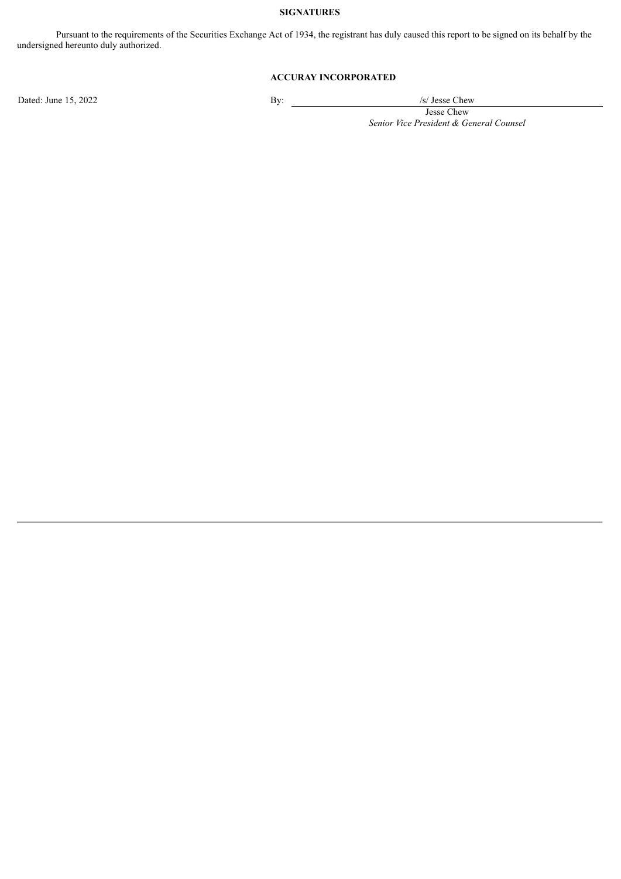## **SIGNATURES**

Pursuant to the requirements of the Securities Exchange Act of 1934, the registrant has duly caused this report to be signed on its behalf by the undersigned hereunto duly authorized.

# **ACCURAY INCORPORATED**

Dated: June 15, 2022 By: /s/ Jesse Chew

Jesse Chew *Senior Vice President & General Counsel*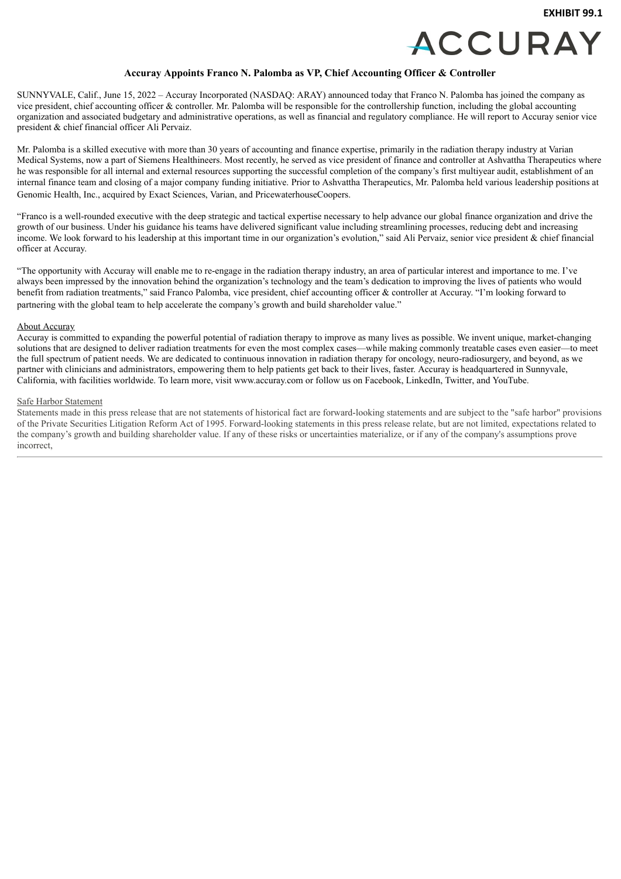

### **Accuray Appoints Franco N. Palomba as VP, Chief Accounting Officer & Controller**

<span id="page-3-0"></span>SUNNYVALE, Calif., June 15, 2022 – Accuray Incorporated (NASDAQ: ARAY) announced today that Franco N. Palomba has joined the company as vice president, chief accounting officer & controller. Mr. Palomba will be responsible for the controllership function, including the global accounting organization and associated budgetary and administrative operations, as well as financial and regulatory compliance. He will report to Accuray senior vice president & chief financial officer Ali Pervaiz.

Mr. Palomba is a skilled executive with more than 30 years of accounting and finance expertise, primarily in the radiation therapy industry at Varian Medical Systems, now a part of Siemens Healthineers. Most recently, he served as vice president of finance and controller at Ashvattha Therapeutics where he was responsible for all internal and external resources supporting the successful completion of the company's first multiyear audit, establishment of an internal finance team and closing of a major company funding initiative. Prior to Ashvattha Therapeutics, Mr. Palomba held various leadership positions at Genomic Health, Inc., acquired by Exact Sciences, Varian, and PricewaterhouseCoopers.

"Franco is a well-rounded executive with the deep strategic and tactical expertise necessary to help advance our global finance organization and drive the growth of our business. Under his guidance his teams have delivered significant value including streamlining processes, reducing debt and increasing income. We look forward to his leadership at this important time in our organization's evolution," said Ali Pervaiz, senior vice president & chief financial officer at Accuray.

"The opportunity with Accuray will enable me to re-engage in the radiation therapy industry, an area of particular interest and importance to me. I've always been impressed by the innovation behind the organization's technology and the team's dedication to improving the lives of patients who would benefit from radiation treatments," said Franco Palomba, vice president, chief accounting officer & controller at Accuray. "I'm looking forward to partnering with the global team to help accelerate the company's growth and build shareholder value."

#### About Accuray

Accuray is committed to expanding the powerful potential of radiation therapy to improve as many lives as possible. We invent unique, market-changing solutions that are designed to deliver radiation treatments for even the most complex cases—while making commonly treatable cases even easier—to meet the full spectrum of patient needs. We are dedicated to continuous innovation in radiation therapy for oncology, neuro-radiosurgery, and beyond, as we partner with clinicians and administrators, empowering them to help patients get back to their lives, faster. Accuray is headquartered in Sunnyvale, California, with facilities worldwide. To learn more, visit www.accuray.com or follow us on Facebook, LinkedIn, Twitter, and YouTube.

#### Safe Harbor Statement

Statements made in this press release that are not statements of historical fact are forward-looking statements and are subject to the "safe harbor" provisions of the Private Securities Litigation Reform Act of 1995. Forward-looking statements in this press release relate, but are not limited, expectations related to the company's growth and building shareholder value. If any of these risks or uncertainties materialize, or if any of the company's assumptions prove incorrect,